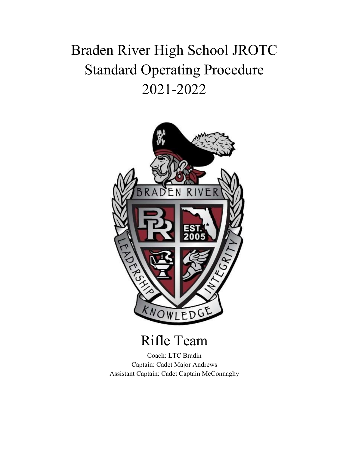## Braden River High School JROTC Standard Operating Procedure 2021-2022



## Rifle Team

Coach: LTC Bradin Captain: Cadet Major Andrews Assistant Captain: Cadet Captain McConnaghy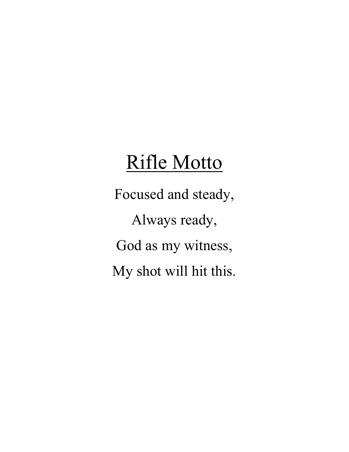# Rifle Motto

Focused and steady, Always ready, God as my witness, My shot will hit this.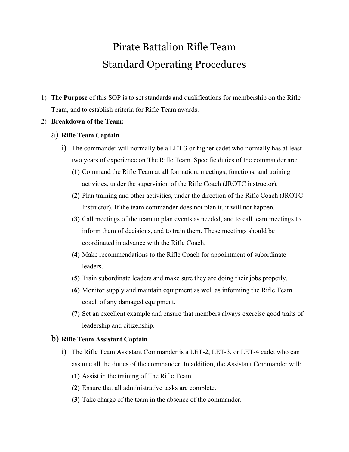### Pirate Battalion Rifle Team Standard Operating Procedures

- 1) The **Purpose** of this SOP is to set standards and qualifications for membership on the Rifle Team, and to establish criteria for Rifle Team awards.
- 2) **Breakdown of the Team:**

#### a) **Rifle Team Captain**

- i) The commander will normally be a LET 3 or higher cadet who normally has at least two years of experience on The Rifle Team. Specific duties of the commander are:
	- **(1)** Command the Rifle Team at all formation, meetings, functions, and training activities, under the supervision of the Rifle Coach (JROTC instructor).
	- **(2)** Plan training and other activities, under the direction of the Rifle Coach (JROTC Instructor). If the team commander does not plan it, it will not happen.
	- **(3)** Call meetings of the team to plan events as needed, and to call team meetings to inform them of decisions, and to train them. These meetings should be coordinated in advance with the Rifle Coach.
	- **(4)** Make recommendations to the Rifle Coach for appointment of subordinate leaders.
	- **(5)** Train subordinate leaders and make sure they are doing their jobs properly.
	- **(6)** Monitor supply and maintain equipment as well as informing the Rifle Team coach of any damaged equipment.
	- **(7)** Set an excellent example and ensure that members always exercise good traits of leadership and citizenship.

#### b) **Rifle Team Assistant Captain**

- i) The Rifle Team Assistant Commander is a LET-2, LET-3, or LET-4 cadet who can assume all the duties of the commander. In addition, the Assistant Commander will:
	- **(1)** Assist in the training of The Rifle Team
	- **(2)** Ensure that all administrative tasks are complete.
	- **(3)** Take charge of the team in the absence of the commander.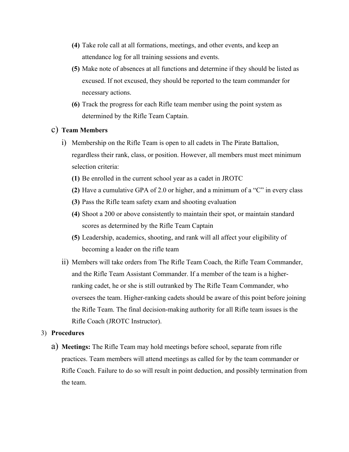- **(4)** Take role call at all formations, meetings, and other events, and keep an attendance log for all training sessions and events.
- **(5)** Make note of absences at all functions and determine if they should be listed as excused. If not excused, they should be reported to the team commander for necessary actions.
- **(6)** Track the progress for each Rifle team member using the point system as determined by the Rifle Team Captain.

#### c) **Team Members**

- i) Membership on the Rifle Team is open to all cadets in The Pirate Battalion, regardless their rank, class, or position. However, all members must meet minimum selection criteria:
	- **(1)** Be enrolled in the current school year as a cadet in JROTC
	- **(2)** Have a cumulative GPA of 2.0 or higher, and a minimum of a "C" in every class
	- **(3)** Pass the Rifle team safety exam and shooting evaluation
	- **(4)** Shoot a 200 or above consistently to maintain their spot, or maintain standard scores as determined by the Rifle Team Captain
	- **(5)** Leadership, academics, shooting, and rank will all affect your eligibility of becoming a leader on the rifle team
- ii) Members will take orders from The Rifle Team Coach, the Rifle Team Commander, and the Rifle Team Assistant Commander. If a member of the team is a higherranking cadet, he or she is still outranked by The Rifle Team Commander, who oversees the team. Higher-ranking cadets should be aware of this point before joining the Rifle Team. The final decision-making authority for all Rifle team issues is the Rifle Coach (JROTC Instructor).

#### 3) **Procedures**

a) **Meetings:** The Rifle Team may hold meetings before school, separate from rifle practices. Team members will attend meetings as called for by the team commander or Rifle Coach. Failure to do so will result in point deduction, and possibly termination from the team.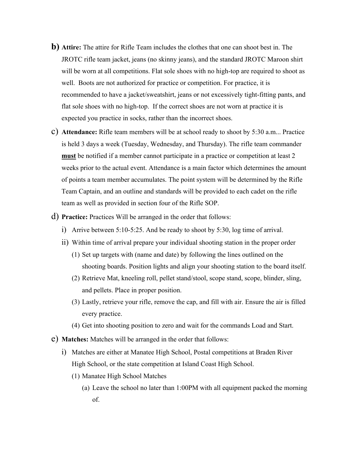- **b) Attire:** The attire for Rifle Team includes the clothes that one can shoot best in. The JROTC rifle team jacket, jeans (no skinny jeans), and the standard JROTC Maroon shirt will be worn at all competitions. Flat sole shoes with no high-top are required to shoot as well. Boots are not authorized for practice or competition. For practice, it is recommended to have a jacket/sweatshirt, jeans or not excessively tight-fitting pants, and flat sole shoes with no high-top. If the correct shoes are not worn at practice it is expected you practice in socks, rather than the incorrect shoes.
- c) **Attendance:** Rifle team members will be at school ready to shoot by 5:30 a.m... Practice is held 3 days a week (Tuesday, Wednesday, and Thursday). The rifle team commander **must** be notified if a member cannot participate in a practice or competition at least 2 weeks prior to the actual event. Attendance is a main factor which determines the amount of points a team member accumulates. The point system will be determined by the Rifle Team Captain, and an outline and standards will be provided to each cadet on the rifle team as well as provided in section four of the Rifle SOP.
- d) **Practice:** Practices Will be arranged in the order that follows:
	- i) Arrive between 5:10-5:25. And be ready to shoot by 5:30, log time of arrival.
	- ii) Within time of arrival prepare your individual shooting station in the proper order
		- (1) Set up targets with (name and date) by following the lines outlined on the shooting boards. Position lights and align your shooting station to the board itself.
		- (2) Retrieve Mat, kneeling roll, pellet stand/stool, scope stand, scope, blinder, sling, and pellets. Place in proper position.
		- (3) Lastly, retrieve your rifle, remove the cap, and fill with air. Ensure the air is filled every practice.
		- (4) Get into shooting position to zero and wait for the commands Load and Start.
- e) **Matches:** Matches will be arranged in the order that follows:
	- i) Matches are either at Manatee High School, Postal competitions at Braden River High School, or the state competition at Island Coast High School.
		- (1) Manatee High School Matches
			- (a) Leave the school no later than 1:00PM with all equipment packed the morning of.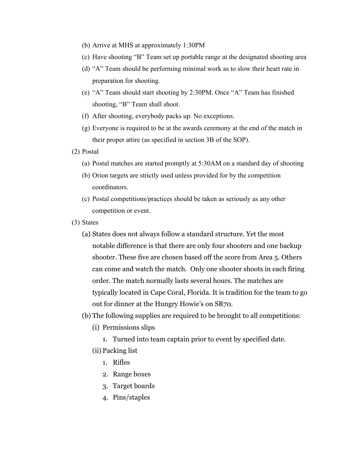- (b) Arrive at MHS at approximately 1:30PM
- (c) Have shooting "B" Team set up portable range at the designated shooting area
- (d) "A" Team should be performing minimal work as to slow their heart rate in preparation for shooting.
- (e) "A" Team should start shooting by 2:30PM. Once "A" Team has finished shooting, "B" Team shall shoot.
- (f) After shooting, everybody packs up. No exceptions.
- (g) Everyone is required to be at the awards ceremony at the end of the match in their proper attire (as specified in section 3B of the SOP).
- (2) Postal
	- (a) Postal matches are started promptly at 5:30AM on a standard day of shooting
	- (b) Orion targets are strictly used unless provided for by the competition coordinators.
	- (c) Postal competitions/practices should be taken as seriously as any other competition or event.
- (3) States
	- (a) States does not always follow a standard structure. Yet the most notable difference is that there are only four shooters and one backup shooter. These five are chosen based off the score from Area 5. Others can come and watch the match. Only one shooter shoots in each firing order. The match normally lasts several hours. The matches are typically located in Cape Coral, Florida. It is tradition for the team to go out for dinner at the Hungry Howie's on SR70.
	- (b) The following supplies are required to be brought to all competitions:
		- (i) Permissions slips
			- 1. Turned into team captain prior to event by specified date.
		- (ii) Packing list
			- 1. Rifles
			- 2. Range boxes
			- 3. Target boards
			- 4. Pins/staples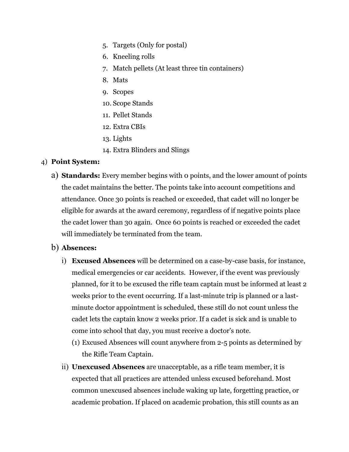- 5. Targets (Only for postal)
- 6. Kneeling rolls
- 7. Match pellets (At least three tin containers)
- 8. Mats
- 9. Scopes
- 10. Scope Stands
- 11. Pellet Stands
- 12. Extra CBIs
- 13. Lights
- 14. Extra Blinders and Slings

#### 4) **Point System:**

a) **Standards:** Every member begins with 0 points, and the lower amount of points the cadet maintains the better. The points take into account competitions and attendance. Once 30 points is reached or exceeded, that cadet will no longer be eligible for awards at the award ceremony, regardless of if negative points place the cadet lower than 30 again. Once 60 points is reached or exceeded the cadet will immediately be terminated from the team.

#### b) **Absences:**

- i) **Excused Absences** will be determined on a case-by-case basis, for instance, medical emergencies or car accidents. However, if the event was previously planned, for it to be excused the rifle team captain must be informed at least 2 weeks prior to the event occurring. If a last-minute trip is planned or a lastminute doctor appointment is scheduled, these still do not count unless the cadet lets the captain know 2 weeks prior. If a cadet is sick and is unable to come into school that day, you must receive a doctor's note.
	- (1) Excused Absences will count anywhere from 2-5 points as determined by the Rifle Team Captain.
- ii) **Unexcused Absences** are unacceptable, as a rifle team member, it is expected that all practices are attended unless excused beforehand. Most common unexcused absences include waking up late, forgetting practice, or academic probation. If placed on academic probation, this still counts as an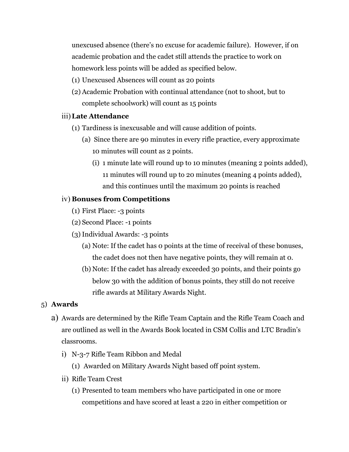unexcused absence (there's no excuse for academic failure). However, if on academic probation and the cadet still attends the practice to work on homework less points will be added as specified below.

- (1) Unexcused Absences will count as 20 points
- (2) Academic Probation with continual attendance (not to shoot, but to complete schoolwork) will count as 15 points

#### iii)**Late Attendance**

- (1) Tardiness is inexcusable and will cause addition of points.
	- (a) Since there are 90 minutes in every rifle practice, every approximate 10 minutes will count as 2 points.
		- (i) 1 minute late will round up to 10 minutes (meaning 2 points added), 11 minutes will round up to 20 minutes (meaning 4 points added), and this continues until the maximum 20 points is reached

#### iv) **Bonuses from Competitions**

- (1) First Place: -3 points
- (2) Second Place: -1 points
- (3) Individual Awards: -3 points
	- (a) Note: If the cadet has 0 points at the time of receival of these bonuses, the cadet does not then have negative points, they will remain at 0.
	- (b) Note: If the cadet has already exceeded 30 points, and their points go below 30 with the addition of bonus points, they still do not receive rifle awards at Military Awards Night.

#### 5) **Awards**

- a) Awards are determined by the Rifle Team Captain and the Rifle Team Coach and are outlined as well in the Awards Book located in CSM Collis and LTC Bradin's classrooms.
	- i) N-3-7 Rifle Team Ribbon and Medal
		- (1) Awarded on Military Awards Night based off point system.
	- ii) Rifle Team Crest
		- (1) Presented to team members who have participated in one or more competitions and have scored at least a 220 in either competition or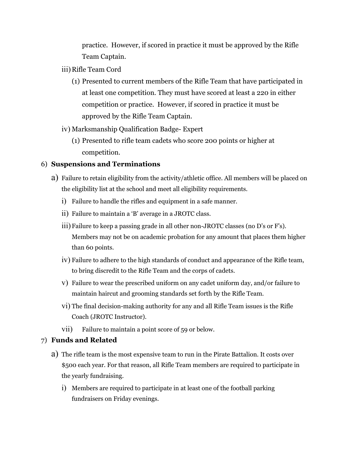practice. However, if scored in practice it must be approved by the Rifle Team Captain.

- iii) Rifle Team Cord
	- (1) Presented to current members of the Rifle Team that have participated in at least one competition. They must have scored at least a 220 in either competition or practice. However, if scored in practice it must be approved by the Rifle Team Captain.
- iv) Marksmanship Qualification Badge- Expert
	- (1) Presented to rifle team cadets who score 200 points or higher at competition.

#### 6) **Suspensions and Terminations**

- a) Failure to retain eligibility from the activity/athletic office. All members will be placed on the eligibility list at the school and meet all eligibility requirements.
	- i) Failure to handle the rifles and equipment in a safe manner.
	- ii) Failure to maintain a 'B' average in a JROTC class.
	- iii) Failure to keep a passing grade in all other non-JROTC classes (no D's or F's). Members may not be on academic probation for any amount that places them higher than 60 points.
	- iv) Failure to adhere to the high standards of conduct and appearance of the Rifle team, to bring discredit to the Rifle Team and the corps of cadets.
	- v) Failure to wear the prescribed uniform on any cadet uniform day, and/or failure to maintain haircut and grooming standards set forth by the Rifle Team.
	- vi) The final decision-making authority for any and all Rifle Team issues is the Rifle Coach (JROTC Instructor).
	- vii) Failure to maintain a point score of 59 or below.

#### 7) **Funds and Related**

- a) The rifle team is the most expensive team to run in the Pirate Battalion. It costs over \$500 each year. For that reason, all Rifle Team members are required to participate in the yearly fundraising.
	- i) Members are required to participate in at least one of the football parking fundraisers on Friday evenings.